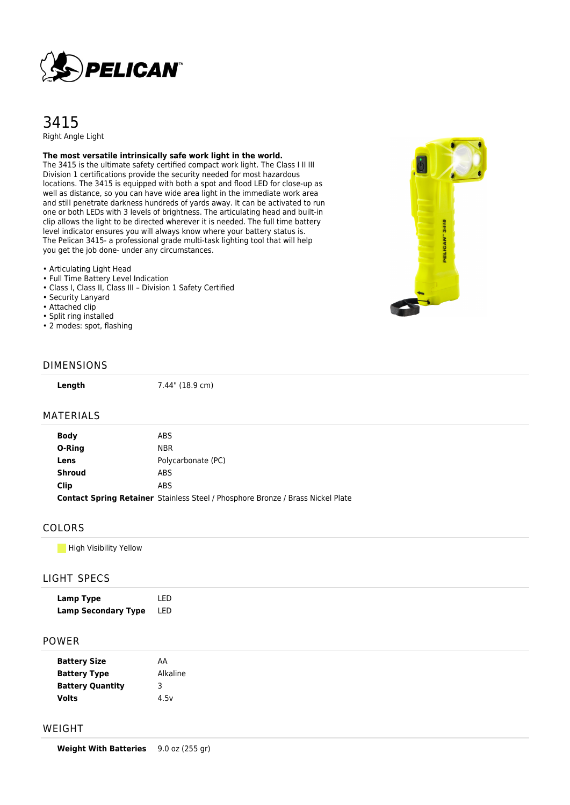

# 3415 Right Angle Light

**The most versatile intrinsically safe work light in the world.**

The 3415 is the ultimate safety certified compact work light. The Class I II III Division 1 certifications provide the security needed for most hazardous locations. The 3415 is equipped with both a spot and flood LED for close-up as well as distance, so you can have wide area light in the immediate work area and still penetrate darkness hundreds of yards away. It can be activated to run one or both LEDs with 3 levels of brightness. The articulating head and built-in clip allows the light to be directed wherever it is needed. The full time battery level indicator ensures you will always know where your battery status is. The Pelican 3415- a professional grade multi-task lighting tool that will help you get the job done- under any circumstances.

### • Articulating Light Head

- Full Time Battery Level Indication
- Class I, Class II, Class III Division 1 Safety Certified
- Security Lanyard
- Attached clip
- Split ring installed
- 2 modes: spot, flashing



#### DIMENSIONS

**Length** 7.44" (18.9 cm)

#### MATERIALS

| <b>Body</b>   | ABS                                                                                    |
|---------------|----------------------------------------------------------------------------------------|
| O-Ring        | <b>NBR</b>                                                                             |
| Lens          | Polycarbonate (PC)                                                                     |
| <b>Shroud</b> | ABS.                                                                                   |
| Clip          | ABS                                                                                    |
|               | <b>Contact Spring Retainer</b> Stainless Steel / Phosphore Bronze / Brass Nickel Plate |

### COLORS

**High Visibility Yellow** 

### LIGHT SPECS

| Lamp Type                  | I FD |
|----------------------------|------|
| <b>Lamp Secondary Type</b> | LED  |

#### POWER

| <b>Battery Size</b>     | АΑ       |
|-------------------------|----------|
| <b>Battery Type</b>     | Alkaline |
| <b>Battery Quantity</b> | 3        |
| <b>Volts</b>            | 4.5v     |

## WEIGHT

**Weight With Batteries** 9.0 oz (255 gr)